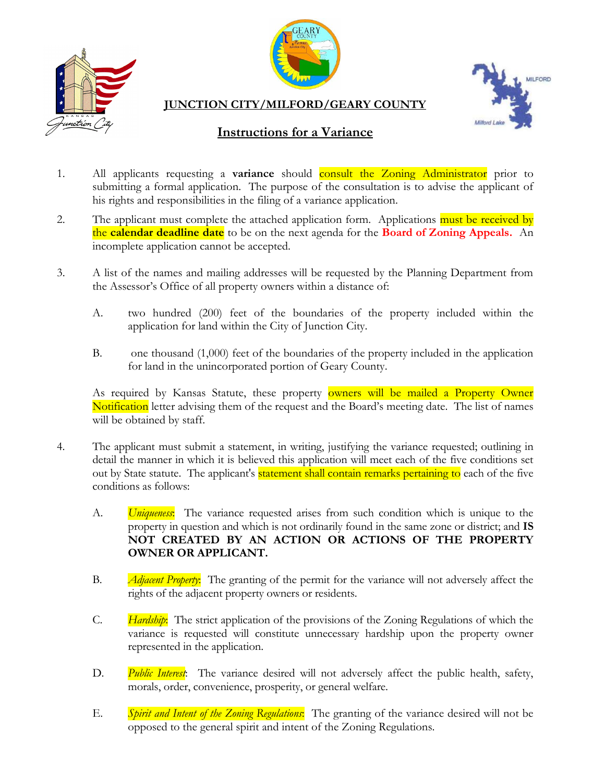





**JUNCTION CITY/MILFORD/GEARY COUNTY**

## **Instructions for a Variance**

- 1. All applicants requesting a **variance** should consult the Zoning Administrator prior to submitting a formal application. The purpose of the consultation is to advise the applicant of his rights and responsibilities in the filing of a variance application.
- 2. The applicant must complete the attached application form. Applications must be received by the **calendar deadline date** to be on the next agenda for the **Board of Zoning Appeals.** An incomplete application cannot be accepted.
- 3. A list of the names and mailing addresses will be requested by the Planning Department from the Assessor's Office of all property owners within a distance of:
	- A. two hundred (200) feet of the boundaries of the property included within the application for land within the City of Junction City.
	- B. one thousand (1,000) feet of the boundaries of the property included in the application for land in the unincorporated portion of Geary County.

As required by Kansas Statute, these property **owners will be mailed a Property Owner** Notification letter advising them of the request and the Board's meeting date. The list of names will be obtained by staff.

- 4. The applicant must submit a statement, in writing, justifying the variance requested; outlining in detail the manner in which it is believed this application will meet each of the five conditions set out by State statute. The applicant's statement shall contain remarks pertaining to each of the five conditions as follows:
	- A. *Uniqueness*: The variance requested arises from such condition which is unique to the property in question and which is not ordinarily found in the same zone or district; and **IS NOT CREATED BY AN ACTION OR ACTIONS OF THE PROPERTY OWNER OR APPLICANT.**
	- B. *Adjacent Property*: The granting of the permit for the variance will not adversely affect the rights of the adjacent property owners or residents.
	- C. *Hardship*: The strict application of the provisions of the Zoning Regulations of which the variance is requested will constitute unnecessary hardship upon the property owner represented in the application.
	- D. *Public Interest*: The variance desired will not adversely affect the public health, safety, morals, order, convenience, prosperity, or general welfare.
	- E. *Spirit and Intent of the Zoning Regulations*: The granting of the variance desired will not be opposed to the general spirit and intent of the Zoning Regulations.